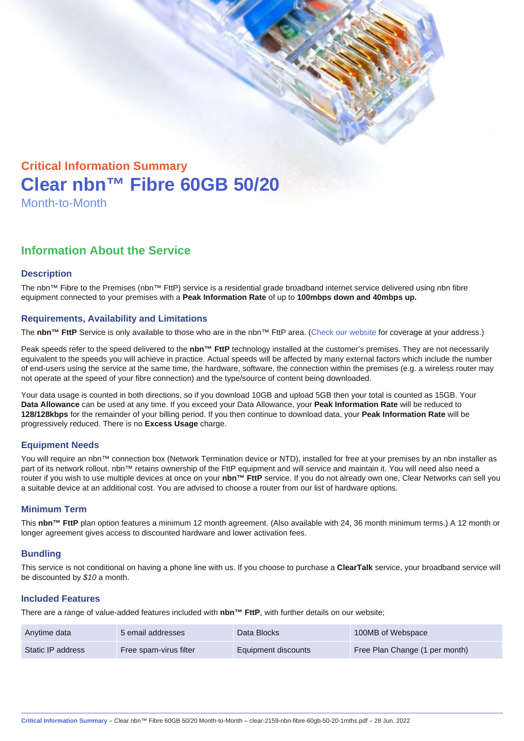# Critical Information Summary Clear nbn™ Fibre 60GB 50/20 Month-to-Month

## Information About the Service

#### **Description**

The nbn™ Fibre to the Premises (nbn™ FttP) service is a residential grade broadband internet service delivered using nbn fibre equipment connected to your premises with a Peak Information Rate of up to 100mbps down and 40mbps up.

#### Requirements, Availability and Limitations

The nbn™ FttP Service is only available to those who are in the nbn™ FttP area. ([Check our website](https://www.clear.com.au/business/nbn-fixed/) for coverage at your address.)

Peak speeds refer to the speed delivered to the nbn™ FttP technology installed at the customer's premises. They are not necessarily equivalent to the speeds you will achieve in practice. Actual speeds will be affected by many external factors which include the number of end-users using the service at the same time, the hardware, software, the connection within the premises (e.g. a wireless router may not operate at the speed of your fibre connection) and the type/source of content being downloaded.

Your data usage is counted in both directions, so if you download 10GB and upload 5GB then your total is counted as 15GB. Your Data Allowance can be used at any time. If you exceed your Data Allowance, your Peak Information Rate will be reduced to 128/128kbps for the remainder of your billing period. If you then continue to download data, your Peak Information Rate will be progressively reduced. There is no Excess Usage charge.

#### Equipment Needs

You will require an nbn™ connection box (Network Termination device or NTD), installed for free at your premises by an nbn installer as part of its network rollout. nbn™ retains ownership of the FttP equipment and will service and maintain it. You will need also need a router if you wish to use multiple devices at once on your nbn™ FttP service. If you do not already own one, Clear Networks can sell you a suitable device at an additional cost. You are advised to choose a router from our list of hardware options.

#### Minimum Term

This nbn™ FttP plan option features a minimum 12 month agreement. (Also available with 24, 36 month minimum terms.) A 12 month or longer agreement gives access to discounted hardware and lower activation fees.

#### **Bundling**

This service is not conditional on having a phone line with us. If you choose to purchase a ClearTalk service, your broadband service will be discounted by \$10 a month.

#### Included Features

There are a range of value-added features included with nbn™ FttP , with further details on our website;

| Anytime data      | 5 email addresses      | Data Blocks         | 100MB of Webspace              |
|-------------------|------------------------|---------------------|--------------------------------|
| Static IP address | Free spam-virus filter | Equipment discounts | Free Plan Change (1 per month) |